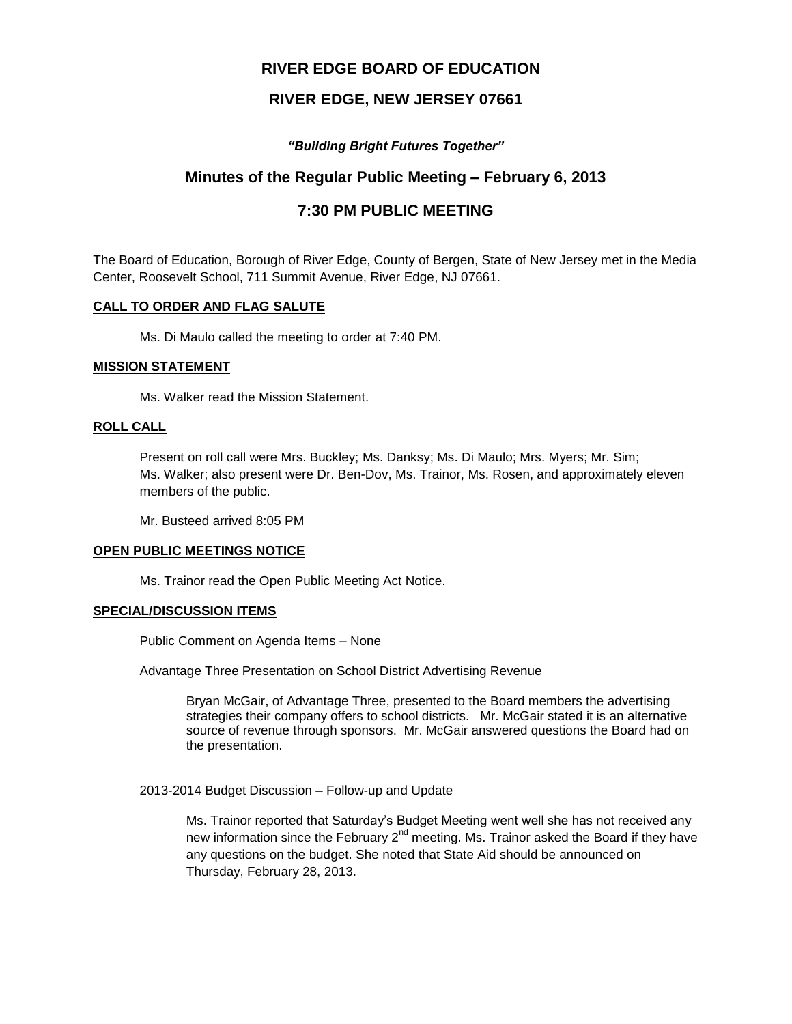# **RIVER EDGE BOARD OF EDUCATION**

# **RIVER EDGE, NEW JERSEY 07661**

# *"Building Bright Futures Together"*

# **Minutes of the Regular Public Meeting – February 6, 2013**

# **7:30 PM PUBLIC MEETING**

The Board of Education, Borough of River Edge, County of Bergen, State of New Jersey met in the Media Center, Roosevelt School, 711 Summit Avenue, River Edge, NJ 07661.

### **CALL TO ORDER AND FLAG SALUTE**

Ms. Di Maulo called the meeting to order at 7:40 PM.

### **MISSION STATEMENT**

Ms. Walker read the Mission Statement.

## **ROLL CALL**

Present on roll call were Mrs. Buckley; Ms. Danksy; Ms. Di Maulo; Mrs. Myers; Mr. Sim; Ms. Walker; also present were Dr. Ben-Dov, Ms. Trainor, Ms. Rosen, and approximately eleven members of the public.

Mr. Busteed arrived 8:05 PM

### **OPEN PUBLIC MEETINGS NOTICE**

Ms. Trainor read the Open Public Meeting Act Notice.

### **SPECIAL/DISCUSSION ITEMS**

Public Comment on Agenda Items – None

Advantage Three Presentation on School District Advertising Revenue

Bryan McGair, of Advantage Three, presented to the Board members the advertising strategies their company offers to school districts. Mr. McGair stated it is an alternative source of revenue through sponsors. Mr. McGair answered questions the Board had on the presentation.

2013-2014 Budget Discussion – Follow-up and Update

Ms. Trainor reported that Saturday's Budget Meeting went well she has not received any new information since the February  $2^{nd}$  meeting. Ms. Trainor asked the Board if they have any questions on the budget. She noted that State Aid should be announced on Thursday, February 28, 2013.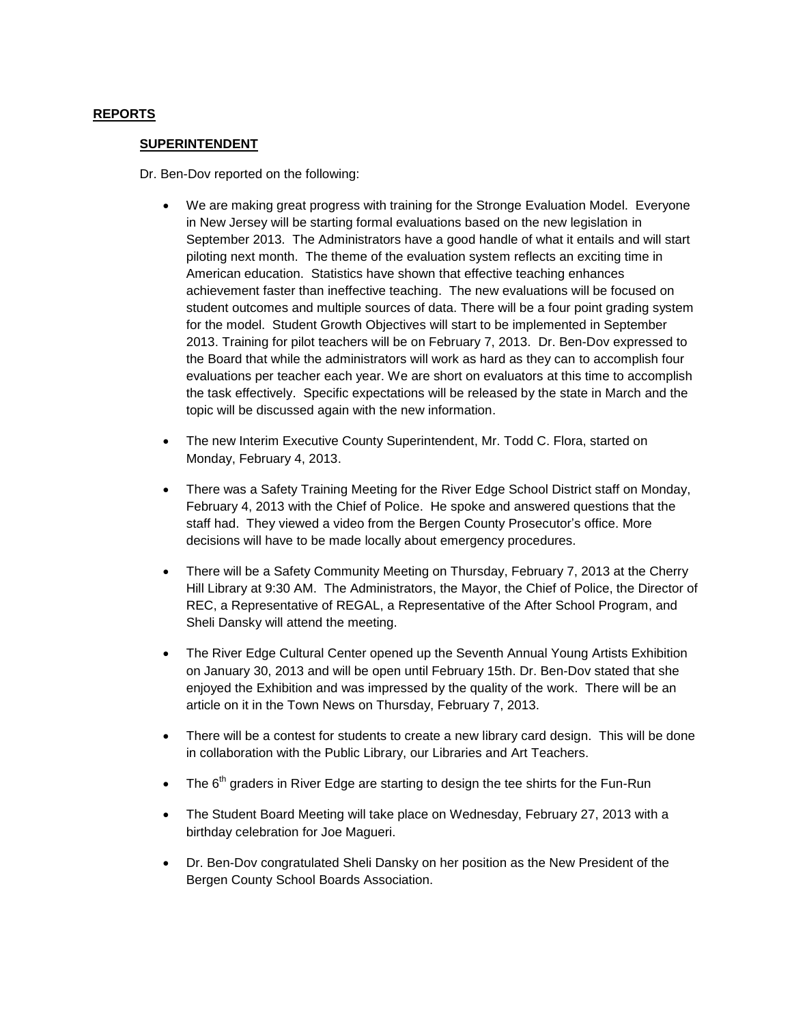# **REPORTS**

### **SUPERINTENDENT**

Dr. Ben-Dov reported on the following:

- We are making great progress with training for the Stronge Evaluation Model. Everyone in New Jersey will be starting formal evaluations based on the new legislation in September 2013. The Administrators have a good handle of what it entails and will start piloting next month. The theme of the evaluation system reflects an exciting time in American education. Statistics have shown that effective teaching enhances achievement faster than ineffective teaching. The new evaluations will be focused on student outcomes and multiple sources of data. There will be a four point grading system for the model. Student Growth Objectives will start to be implemented in September 2013. Training for pilot teachers will be on February 7, 2013. Dr. Ben-Dov expressed to the Board that while the administrators will work as hard as they can to accomplish four evaluations per teacher each year. We are short on evaluators at this time to accomplish the task effectively. Specific expectations will be released by the state in March and the topic will be discussed again with the new information.
- The new Interim Executive County Superintendent, Mr. Todd C. Flora, started on Monday, February 4, 2013.
- There was a Safety Training Meeting for the River Edge School District staff on Monday, February 4, 2013 with the Chief of Police. He spoke and answered questions that the staff had. They viewed a video from the Bergen County Prosecutor's office. More decisions will have to be made locally about emergency procedures.
- There will be a Safety Community Meeting on Thursday, February 7, 2013 at the Cherry Hill Library at 9:30 AM. The Administrators, the Mayor, the Chief of Police, the Director of REC, a Representative of REGAL, a Representative of the After School Program, and Sheli Dansky will attend the meeting.
- The River Edge Cultural Center opened up the Seventh Annual Young Artists Exhibition on January 30, 2013 and will be open until February 15th. Dr. Ben-Dov stated that she enjoyed the Exhibition and was impressed by the quality of the work. There will be an article on it in the Town News on Thursday, February 7, 2013.
- There will be a contest for students to create a new library card design. This will be done in collaboration with the Public Library, our Libraries and Art Teachers.
- The  $6<sup>th</sup>$  graders in River Edge are starting to design the tee shirts for the Fun-Run
- The Student Board Meeting will take place on Wednesday, February 27, 2013 with a birthday celebration for Joe Magueri.
- Dr. Ben-Dov congratulated Sheli Dansky on her position as the New President of the Bergen County School Boards Association.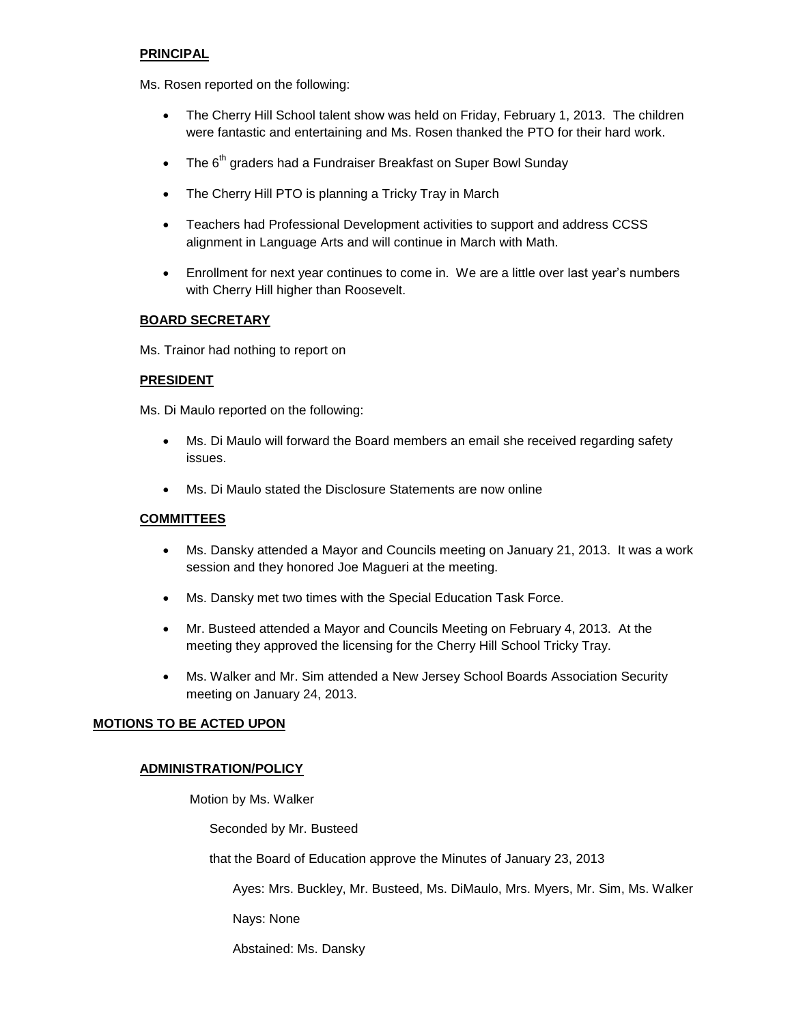# **PRINCIPAL**

Ms. Rosen reported on the following:

- The Cherry Hill School talent show was held on Friday, February 1, 2013. The children were fantastic and entertaining and Ms. Rosen thanked the PTO for their hard work.
- The  $6<sup>th</sup>$  graders had a Fundraiser Breakfast on Super Bowl Sunday
- The Cherry Hill PTO is planning a Tricky Tray in March
- Teachers had Professional Development activities to support and address CCSS alignment in Language Arts and will continue in March with Math.
- Enrollment for next year continues to come in. We are a little over last year's numbers with Cherry Hill higher than Roosevelt.

## **BOARD SECRETARY**

Ms. Trainor had nothing to report on

## **PRESIDENT**

Ms. Di Maulo reported on the following:

- Ms. Di Maulo will forward the Board members an email she received regarding safety issues.
- Ms. Di Maulo stated the Disclosure Statements are now online

# **COMMITTEES**

- Ms. Dansky attended a Mayor and Councils meeting on January 21, 2013. It was a work session and they honored Joe Magueri at the meeting.
- Ms. Dansky met two times with the Special Education Task Force.
- Mr. Busteed attended a Mayor and Councils Meeting on February 4, 2013. At the meeting they approved the licensing for the Cherry Hill School Tricky Tray.
- Ms. Walker and Mr. Sim attended a New Jersey School Boards Association Security meeting on January 24, 2013.

# **MOTIONS TO BE ACTED UPON**

# **ADMINISTRATION/POLICY**

Motion by Ms. Walker

Seconded by Mr. Busteed

that the Board of Education approve the Minutes of January 23, 2013

Ayes: Mrs. Buckley, Mr. Busteed, Ms. DiMaulo, Mrs. Myers, Mr. Sim, Ms. Walker

Nays: None

Abstained: Ms. Dansky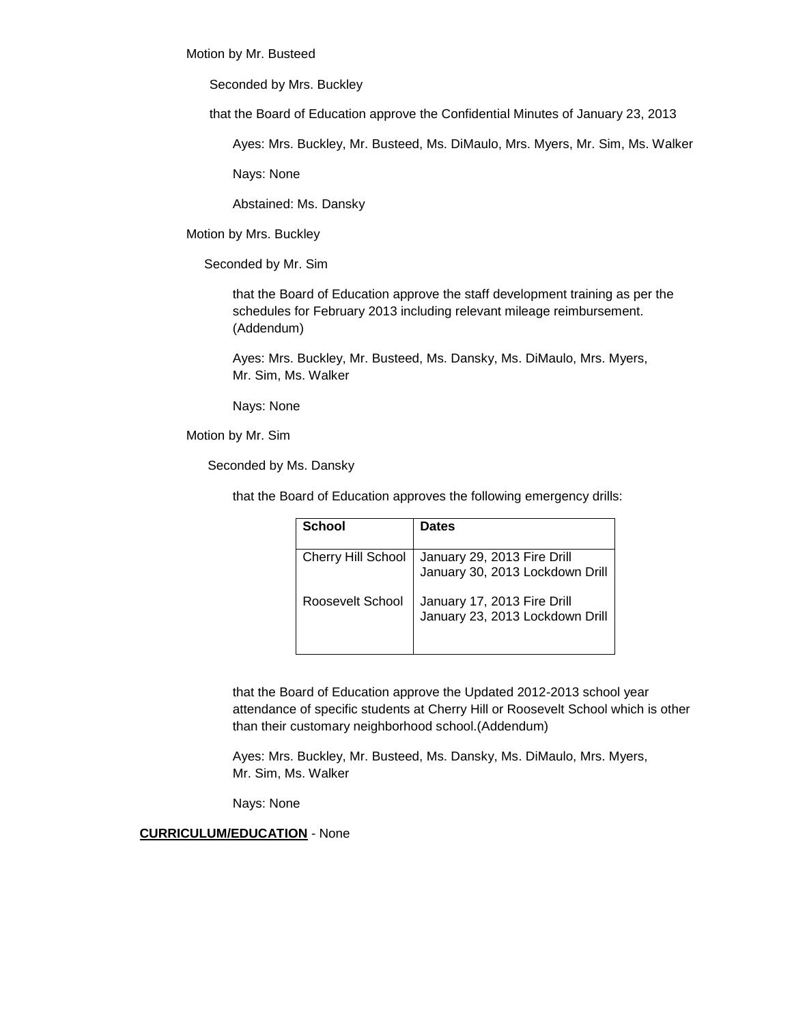Motion by Mr. Busteed

Seconded by Mrs. Buckley

that the Board of Education approve the Confidential Minutes of January 23, 2013

Ayes: Mrs. Buckley, Mr. Busteed, Ms. DiMaulo, Mrs. Myers, Mr. Sim, Ms. Walker

Nays: None

Abstained: Ms. Dansky

Motion by Mrs. Buckley

Seconded by Mr. Sim

that the Board of Education approve the staff development training as per the schedules for February 2013 including relevant mileage reimbursement. (Addendum)

Ayes: Mrs. Buckley, Mr. Busteed, Ms. Dansky, Ms. DiMaulo, Mrs. Myers, Mr. Sim, Ms. Walker

Nays: None

Motion by Mr. Sim

Seconded by Ms. Dansky

that the Board of Education approves the following emergency drills:

| School                    | <b>Dates</b>                                                   |
|---------------------------|----------------------------------------------------------------|
| <b>Cherry Hill School</b> | January 29, 2013 Fire Drill<br>January 30, 2013 Lockdown Drill |
| Roosevelt School          | January 17, 2013 Fire Drill<br>January 23, 2013 Lockdown Drill |

that the Board of Education approve the Updated 2012-2013 school year attendance of specific students at Cherry Hill or Roosevelt School which is other than their customary neighborhood school.(Addendum)

Ayes: Mrs. Buckley, Mr. Busteed, Ms. Dansky, Ms. DiMaulo, Mrs. Myers, Mr. Sim, Ms. Walker

Nays: None

**CURRICULUM/EDUCATION** - None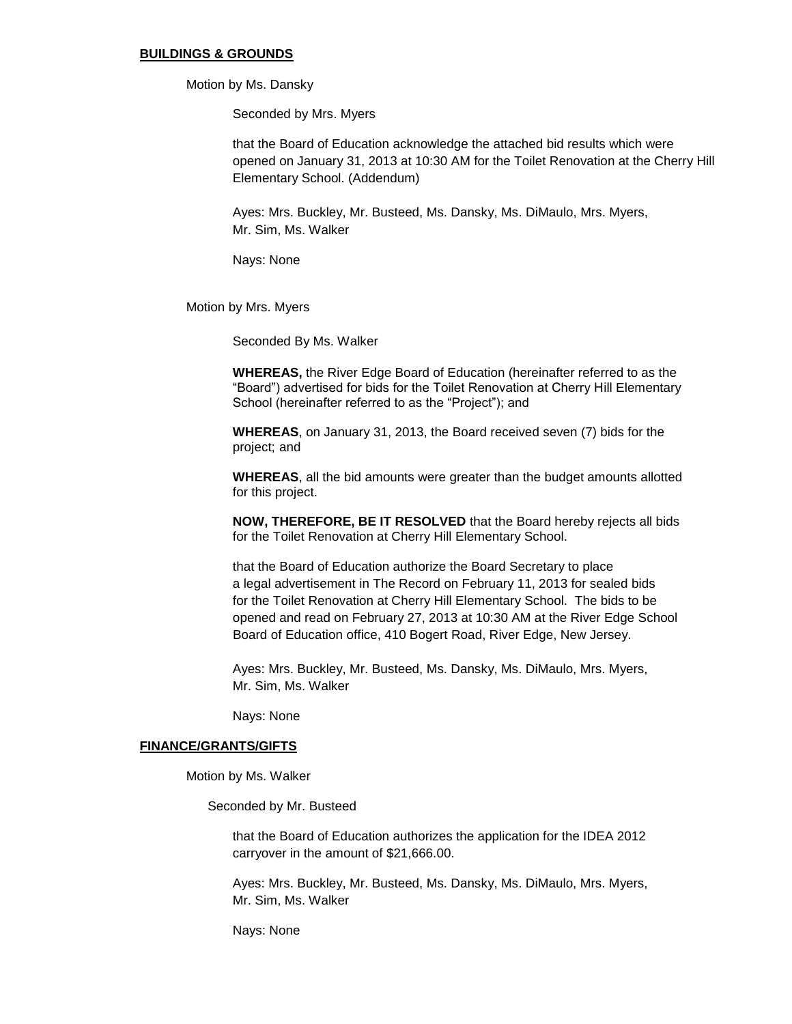#### **BUILDINGS & GROUNDS**

Motion by Ms. Dansky

Seconded by Mrs. Myers

that the Board of Education acknowledge the attached bid results which were opened on January 31, 2013 at 10:30 AM for the Toilet Renovation at the Cherry Hill Elementary School. (Addendum)

Ayes: Mrs. Buckley, Mr. Busteed, Ms. Dansky, Ms. DiMaulo, Mrs. Myers, Mr. Sim, Ms. Walker

Nays: None

Motion by Mrs. Myers

Seconded By Ms. Walker

**WHEREAS,** the River Edge Board of Education (hereinafter referred to as the "Board") advertised for bids for the Toilet Renovation at Cherry Hill Elementary School (hereinafter referred to as the "Project"); and

**WHEREAS**, on January 31, 2013, the Board received seven (7) bids for the project; and

**WHEREAS**, all the bid amounts were greater than the budget amounts allotted for this project.

**NOW, THEREFORE, BE IT RESOLVED** that the Board hereby rejects all bids for the Toilet Renovation at Cherry Hill Elementary School.

 that the Board of Education authorize the Board Secretary to place a legal advertisement in The Record on February 11, 2013 for sealed bids for the Toilet Renovation at Cherry Hill Elementary School. The bids to be opened and read on February 27, 2013 at 10:30 AM at the River Edge School Board of Education office, 410 Bogert Road, River Edge, New Jersey.

Ayes: Mrs. Buckley, Mr. Busteed, Ms. Dansky, Ms. DiMaulo, Mrs. Myers, Mr. Sim, Ms. Walker

Nays: None

#### **FINANCE/GRANTS/GIFTS**

Motion by Ms. Walker

Seconded by Mr. Busteed

that the Board of Education authorizes the application for the IDEA 2012 carryover in the amount of \$21,666.00.

Ayes: Mrs. Buckley, Mr. Busteed, Ms. Dansky, Ms. DiMaulo, Mrs. Myers, Mr. Sim, Ms. Walker

Nays: None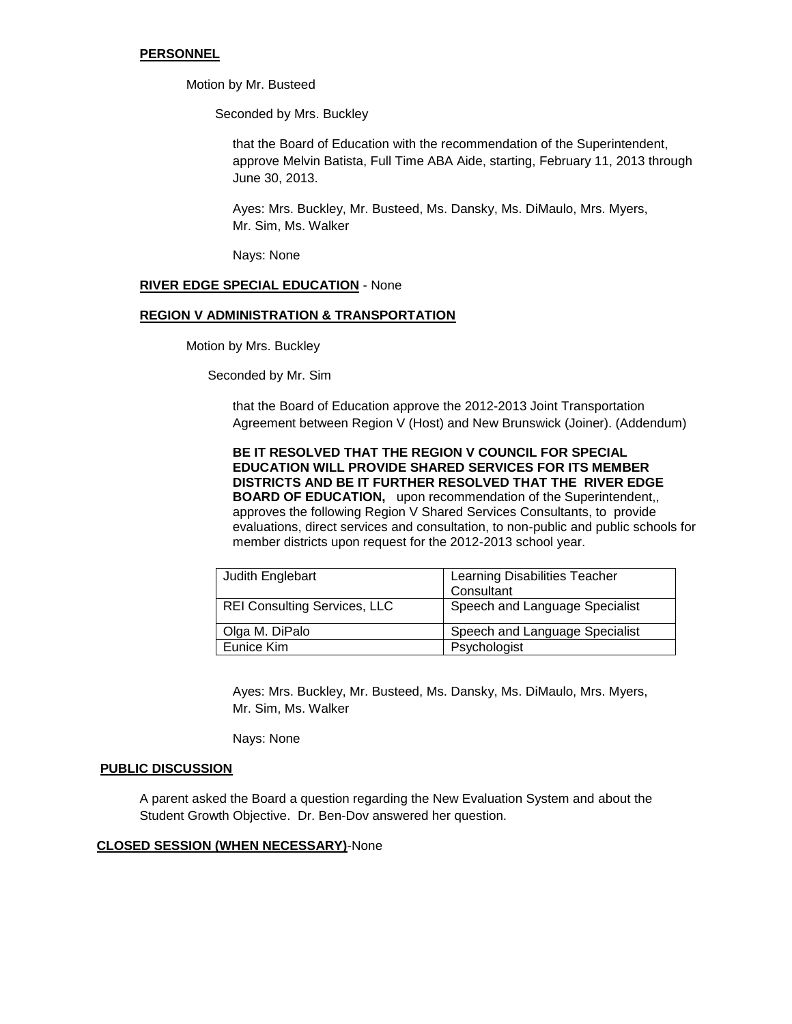### **PERSONNEL**

Motion by Mr. Busteed

Seconded by Mrs. Buckley

that the Board of Education with the recommendation of the Superintendent, approve Melvin Batista, Full Time ABA Aide, starting, February 11, 2013 through June 30, 2013.

Ayes: Mrs. Buckley, Mr. Busteed, Ms. Dansky, Ms. DiMaulo, Mrs. Myers, Mr. Sim, Ms. Walker

Nays: None

### **RIVER EDGE SPECIAL EDUCATION** - None

### **REGION V ADMINISTRATION & TRANSPORTATION**

Motion by Mrs. Buckley

Seconded by Mr. Sim

that the Board of Education approve the 2012-2013 Joint Transportation Agreement between Region V (Host) and New Brunswick (Joiner). (Addendum)

**BE IT RESOLVED THAT THE REGION V COUNCIL FOR SPECIAL EDUCATION WILL PROVIDE SHARED SERVICES FOR ITS MEMBER DISTRICTS AND BE IT FURTHER RESOLVED THAT THE RIVER EDGE BOARD OF EDUCATION,** upon recommendation of the Superintendent,, approves the following Region V Shared Services Consultants, to provide evaluations, direct services and consultation, to non-public and public schools for member districts upon request for the 2012-2013 school year.

| Judith Englebart                    | Learning Disabilities Teacher<br>Consultant |
|-------------------------------------|---------------------------------------------|
| <b>REI Consulting Services, LLC</b> | Speech and Language Specialist              |
| Olga M. DiPalo                      | Speech and Language Specialist              |
| Eunice Kim                          | Psychologist                                |

Ayes: Mrs. Buckley, Mr. Busteed, Ms. Dansky, Ms. DiMaulo, Mrs. Myers, Mr. Sim, Ms. Walker

Nays: None

#### **PUBLIC DISCUSSION**

A parent asked the Board a question regarding the New Evaluation System and about the Student Growth Objective. Dr. Ben-Dov answered her question.

### **CLOSED SESSION (WHEN NECESSARY)**-None